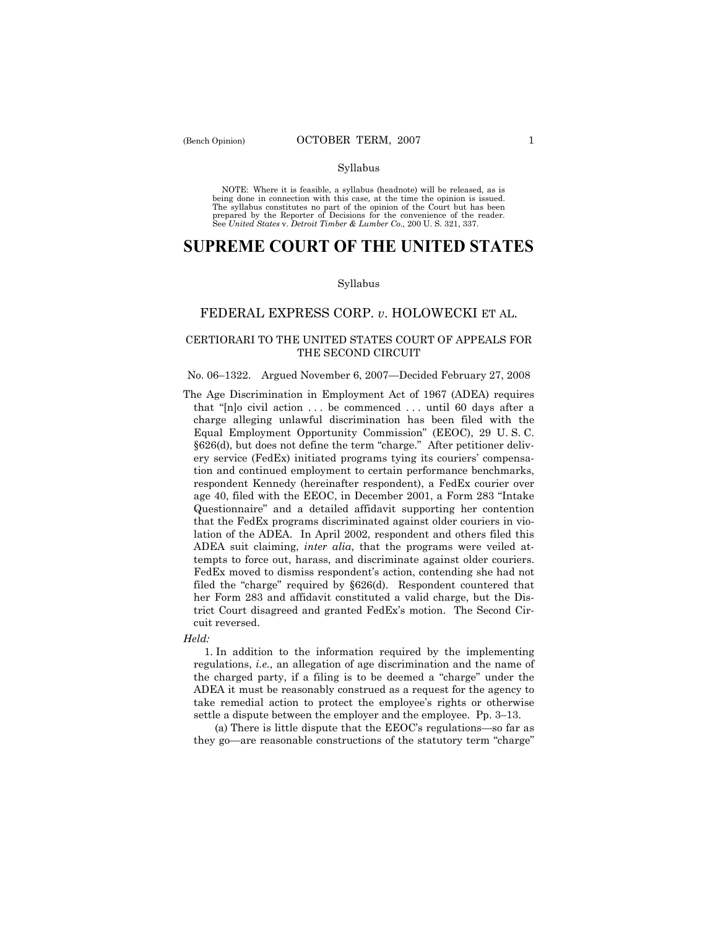NOTE: Where it is feasible, a syllabus (headnote) will be released, as is being done in connection with this case, at the time the opinion is issued. The syllabus constitutes no part of the opinion of the Court but has been<br>prepared by the Reporter of Decisions for the convenience of the reader.<br>See United States v. Detroit Timber & Lumber Co., 200 U. S. 321, 337.

# **SUPREME COURT OF THE UNITED STATES**

#### Syllabus

# FEDERAL EXPRESS CORP. *v*. HOLOWECKI ET AL.

# CERTIORARI TO THE UNITED STATES COURT OF APPEALS FOR THE SECOND CIRCUIT

# No. 06–1322. Argued November 6, 2007—Decided February 27, 2008

The Age Discrimination in Employment Act of 1967 (ADEA) requires that "[n]o civil action . . . be commenced . . . until 60 days after a charge alleging unlawful discrimination has been filed with the Equal Employment Opportunity Commission" (EEOC), 29 U. S. C. §626(d), but does not define the term "charge." After petitioner delivery service (FedEx) initiated programs tying its couriers' compensation and continued employment to certain performance benchmarks, respondent Kennedy (hereinafter respondent), a FedEx courier over age 40, filed with the EEOC, in December 2001, a Form 283 "Intake Questionnaire" and a detailed affidavit supporting her contention that the FedEx programs discriminated against older couriers in violation of the ADEA. In April 2002, respondent and others filed this ADEA suit claiming, *inter alia*, that the programs were veiled attempts to force out, harass, and discriminate against older couriers. FedEx moved to dismiss respondent's action, contending she had not filed the "charge" required by §626(d). Respondent countered that her Form 283 and affidavit constituted a valid charge, but the District Court disagreed and granted FedEx's motion. The Second Circuit reversed.

# *Held:*

 1. In addition to the information required by the implementing regulations, *i.e.*, an allegation of age discrimination and the name of the charged party, if a filing is to be deemed a "charge" under the ADEA it must be reasonably construed as a request for the agency to take remedial action to protect the employee's rights or otherwise settle a dispute between the employer and the employee. Pp. 3–13.

 (a) There is little dispute that the EEOC's regulations—so far as they go—are reasonable constructions of the statutory term "charge"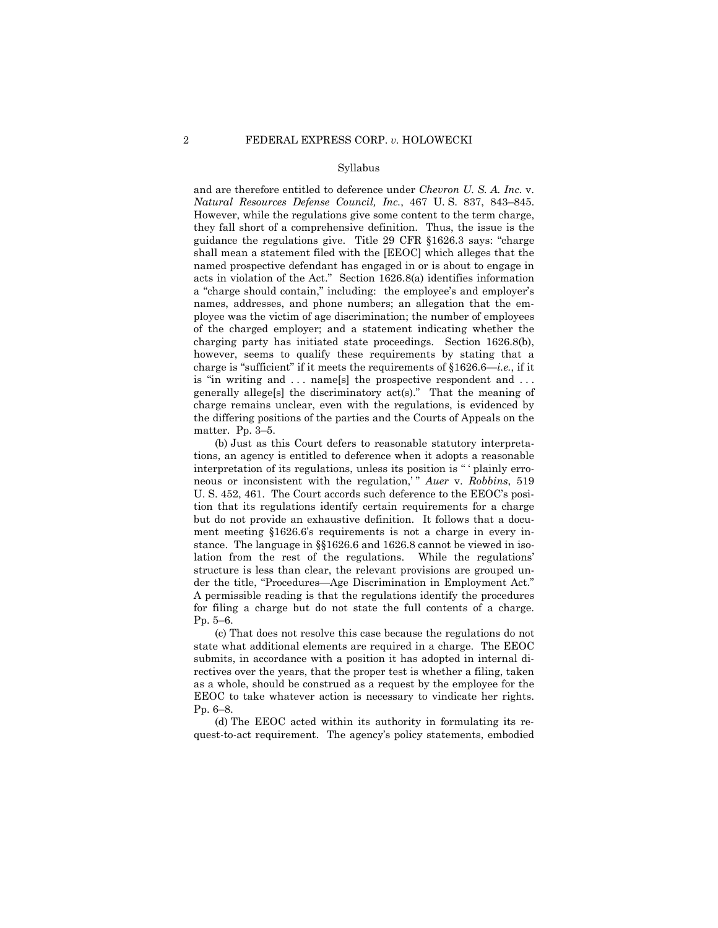and are therefore entitled to deference under *Chevron U. S. A. Inc.* v. *Natural Resources Defense Council, Inc.*, 467 U. S. 837, 843–845. However, while the regulations give some content to the term charge, they fall short of a comprehensive definition. Thus, the issue is the guidance the regulations give. Title 29 CFR §1626.3 says: "charge shall mean a statement filed with the [EEOC] which alleges that the named prospective defendant has engaged in or is about to engage in acts in violation of the Act." Section 1626.8(a) identifies information a "charge should contain," including: the employee's and employer's names, addresses, and phone numbers; an allegation that the employee was the victim of age discrimination; the number of employees of the charged employer; and a statement indicating whether the charging party has initiated state proceedings. Section 1626.8(b), however, seems to qualify these requirements by stating that a charge is "sufficient" if it meets the requirements of §1626.6—*i.e.*, if it is "in writing and . . . name[s] the prospective respondent and . . . generally allege[s] the discriminatory act(s)." That the meaning of charge remains unclear, even with the regulations, is evidenced by the differing positions of the parties and the Courts of Appeals on the matter. Pp. 3–5.

 (b) Just as this Court defers to reasonable statutory interpretations, an agency is entitled to deference when it adopts a reasonable interpretation of its regulations, unless its position is " ' plainly erroneous or inconsistent with the regulation,' " *Auer* v. *Robbins*, 519 U. S. 452, 461. The Court accords such deference to the EEOC's position that its regulations identify certain requirements for a charge but do not provide an exhaustive definition. It follows that a document meeting §1626.6's requirements is not a charge in every instance. The language in §§1626.6 and 1626.8 cannot be viewed in isolation from the rest of the regulations. While the regulations' structure is less than clear, the relevant provisions are grouped under the title, "Procedures—Age Discrimination in Employment Act." A permissible reading is that the regulations identify the procedures for filing a charge but do not state the full contents of a charge. Pp. 5–6.

 (c) That does not resolve this case because the regulations do not state what additional elements are required in a charge. The EEOC submits, in accordance with a position it has adopted in internal directives over the years, that the proper test is whether a filing, taken as a whole, should be construed as a request by the employee for the EEOC to take whatever action is necessary to vindicate her rights. Pp. 6–8.

 (d) The EEOC acted within its authority in formulating its request-to-act requirement. The agency's policy statements, embodied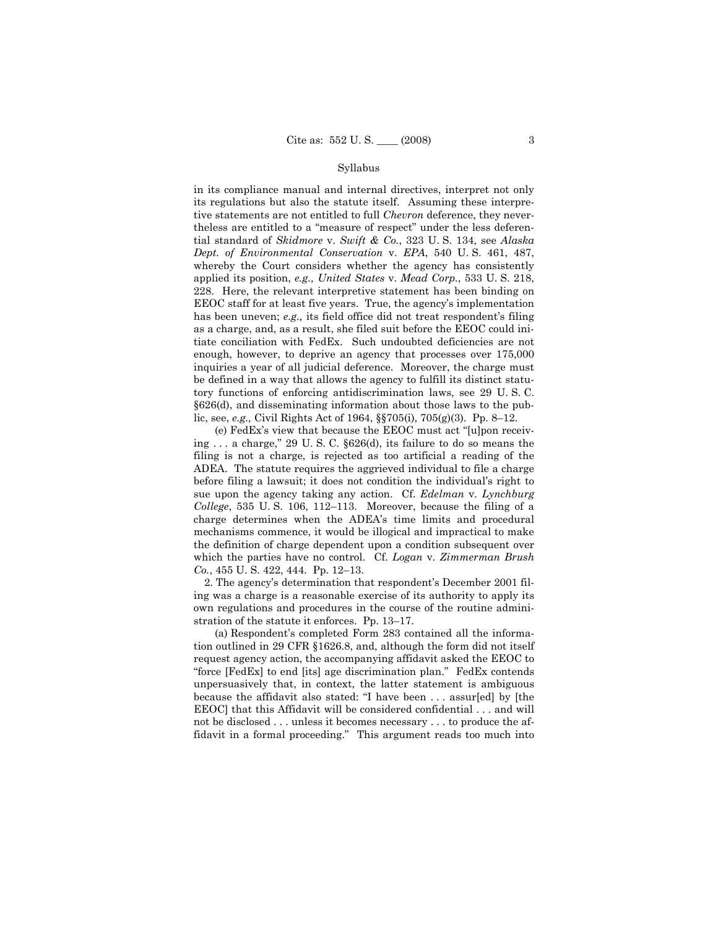in its compliance manual and internal directives, interpret not only its regulations but also the statute itself. Assuming these interpretive statements are not entitled to full *Chevron* deference, they nevertheless are entitled to a "measure of respect" under the less deferential standard of *Skidmore* v. *Swift & Co.*, 323 U. S. 134, see *Alaska Dept. of Environmental Conservation* v. *EPA*, 540 U. S. 461, 487, whereby the Court considers whether the agency has consistently applied its position, *e.g., United States* v. *Mead Corp.*, 533 U. S. 218, 228. Here, the relevant interpretive statement has been binding on EEOC staff for at least five years. True, the agency's implementation has been uneven; *e.g.,* its field office did not treat respondent's filing as a charge, and, as a result, she filed suit before the EEOC could initiate conciliation with FedEx. Such undoubted deficiencies are not enough, however, to deprive an agency that processes over 175,000 inquiries a year of all judicial deference. Moreover, the charge must be defined in a way that allows the agency to fulfill its distinct statutory functions of enforcing antidiscrimination laws, see 29 U. S. C. §626(d), and disseminating information about those laws to the public, see, *e.g.,* Civil Rights Act of 1964, §§705(i), 705(g)(3). Pp. 8–12.

 (e) FedEx's view that because the EEOC must act "[u]pon receiving . . . a charge," 29 U. S. C. §626(d), its failure to do so means the filing is not a charge, is rejected as too artificial a reading of the ADEA. The statute requires the aggrieved individual to file a charge before filing a lawsuit; it does not condition the individual's right to sue upon the agency taking any action. Cf. *Edelman* v. *Lynchburg College*, 535 U. S. 106, 112–113. Moreover, because the filing of a charge determines when the ADEA's time limits and procedural mechanisms commence, it would be illogical and impractical to make the definition of charge dependent upon a condition subsequent over which the parties have no control. Cf. *Logan* v. *Zimmerman Brush Co.*, 455 U. S. 422, 444. Pp. 12–13.

 2. The agency's determination that respondent's December 2001 filing was a charge is a reasonable exercise of its authority to apply its own regulations and procedures in the course of the routine administration of the statute it enforces. Pp. 13–17.

 (a) Respondent's completed Form 283 contained all the information outlined in 29 CFR §1626.8, and, although the form did not itself request agency action, the accompanying affidavit asked the EEOC to "force [FedEx] to end [its] age discrimination plan." FedEx contends unpersuasively that, in context, the latter statement is ambiguous because the affidavit also stated: "I have been . . . assur[ed] by [the EEOC] that this Affidavit will be considered confidential . . . and will not be disclosed . . . unless it becomes necessary . . . to produce the affidavit in a formal proceeding." This argument reads too much into